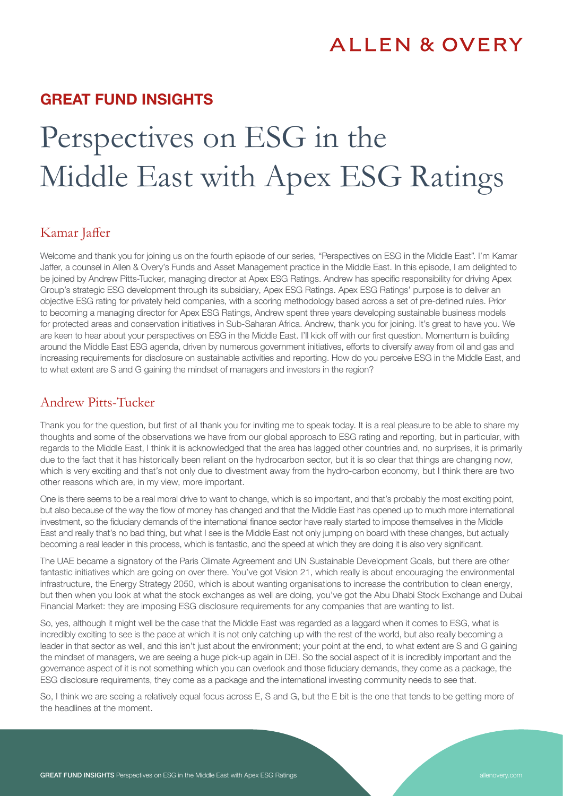# **ALLEN & OVERY**

# GREAT FUND INSIGHTS

# Perspectives on ESG in the Middle East with Apex ESG Ratings

#### Kamar Jaffer

Welcome and thank you for joining us on the fourth episode of our series, "Perspectives on ESG in the Middle East". I'm Kamar Jaffer, a counsel in Allen & Overy's Funds and Asset Management practice in the Middle East. In this episode, I am delighted to be joined by Andrew Pitts-Tucker, managing director at Apex ESG Ratings. Andrew has specific responsibility for driving Apex Group's strategic ESG development through its subsidiary, Apex ESG Ratings. Apex ESG Ratings' purpose is to deliver an objective ESG rating for privately held companies, with a scoring methodology based across a set of pre-defined rules. Prior to becoming a managing director for Apex ESG Ratings, Andrew spent three years developing sustainable business models for protected areas and conservation initiatives in Sub-Saharan Africa. Andrew, thank you for joining. It's great to have you. We are keen to hear about your perspectives on ESG in the Middle East. I'll kick off with our first question. Momentum is building around the Middle East ESG agenda, driven by numerous government initiatives, efforts to diversify away from oil and gas and increasing requirements for disclosure on sustainable activities and reporting. How do you perceive ESG in the Middle East, and to what extent are S and G gaining the mindset of managers and investors in the region?

#### Andrew Pitts-Tucker

Thank you for the question, but first of all thank you for inviting me to speak today. It is a real pleasure to be able to share my thoughts and some of the observations we have from our global approach to ESG rating and reporting, but in particular, with regards to the Middle East, I think it is acknowledged that the area has lagged other countries and, no surprises, it is primarily due to the fact that it has historically been reliant on the hydrocarbon sector, but it is so clear that things are changing now, which is very exciting and that's not only due to divestment away from the hydro-carbon economy, but I think there are two other reasons which are, in my view, more important.

One is there seems to be a real moral drive to want to change, which is so important, and that's probably the most exciting point, but also because of the way the flow of money has changed and that the Middle East has opened up to much more international investment, so the fiduciary demands of the international finance sector have really started to impose themselves in the Middle East and really that's no bad thing, but what I see is the Middle East not only jumping on board with these changes, but actually becoming a real leader in this process, which is fantastic, and the speed at which they are doing it is also very significant.

The UAE became a signatory of the Paris Climate Agreement and UN Sustainable Development Goals, but there are other fantastic initiatives which are going on over there. You've got Vision 21, which really is about encouraging the environmental infrastructure, the Energy Strategy 2050, which is about wanting organisations to increase the contribution to clean energy, but then when you look at what the stock exchanges as well are doing, you've got the Abu Dhabi Stock Exchange and Dubai Financial Market: they are imposing ESG disclosure requirements for any companies that are wanting to list.

So, yes, although it might well be the case that the Middle East was regarded as a laggard when it comes to ESG, what is incredibly exciting to see is the pace at which it is not only catching up with the rest of the world, but also really becoming a leader in that sector as well, and this isn't just about the environment; your point at the end, to what extent are S and G gaining the mindset of managers, we are seeing a huge pick-up again in DEI. So the social aspect of it is incredibly important and the governance aspect of it is not something which you can overlook and those fiduciary demands, they come as a package, the ESG disclosure requirements, they come as a package and the international investing community needs to see that.

So, I think we are seeing a relatively equal focus across E, S and G, but the E bit is the one that tends to be getting more of the headlines at the moment.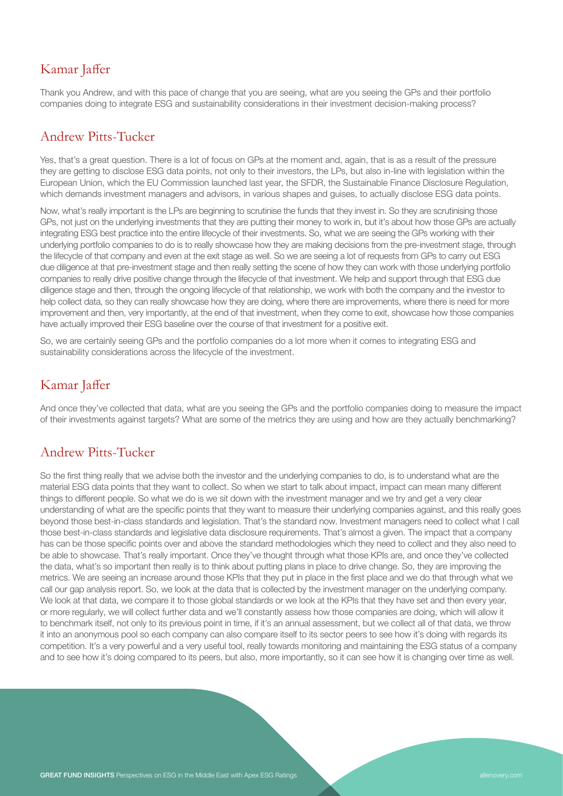# Kamar Jaffer

Thank you Andrew, and with this pace of change that you are seeing, what are you seeing the GPs and their portfolio companies doing to integrate ESG and sustainability considerations in their investment decision-making process?

#### Andrew Pitts-Tucker

Yes, that's a great question. There is a lot of focus on GPs at the moment and, again, that is as a result of the pressure they are getting to disclose ESG data points, not only to their investors, the LPs, but also in-line with legislation within the European Union, which the EU Commission launched last year, the SFDR, the Sustainable Finance Disclosure Regulation, which demands investment managers and advisors, in various shapes and guises, to actually disclose ESG data points.

Now, what's really important is the LPs are beginning to scrutinise the funds that they invest in. So they are scrutinising those GPs, not just on the underlying investments that they are putting their money to work in, but it's about how those GPs are actually integrating ESG best practice into the entire lifecycle of their investments. So, what we are seeing the GPs working with their underlying portfolio companies to do is to really showcase how they are making decisions from the pre-investment stage, through the lifecycle of that company and even at the exit stage as well. So we are seeing a lot of requests from GPs to carry out ESG due diligence at that pre-investment stage and then really setting the scene of how they can work with those underlying portfolio companies to really drive positive change through the lifecycle of that investment. We help and support through that ESG due diligence stage and then, through the ongoing lifecycle of that relationship, we work with both the company and the investor to help collect data, so they can really showcase how they are doing, where there are improvements, where there is need for more improvement and then, very importantly, at the end of that investment, when they come to exit, showcase how those companies have actually improved their ESG baseline over the course of that investment for a positive exit.

So, we are certainly seeing GPs and the portfolio companies do a lot more when it comes to integrating ESG and sustainability considerations across the lifecycle of the investment.

### Kamar Jaffer

And once they've collected that data, what are you seeing the GPs and the portfolio companies doing to measure the impact of their investments against targets? What are some of the metrics they are using and how are they actually benchmarking?

#### Andrew Pitts-Tucker

So the first thing really that we advise both the investor and the underlying companies to do, is to understand what are the material ESG data points that they want to collect. So when we start to talk about impact, impact can mean many different things to different people. So what we do is we sit down with the investment manager and we try and get a very clear understanding of what are the specific points that they want to measure their underlying companies against, and this really goes beyond those best-in-class standards and legislation. That's the standard now. Investment managers need to collect what I call those best-in-class standards and legislative data disclosure requirements. That's almost a given. The impact that a company has can be those specific points over and above the standard methodologies which they need to collect and they also need to be able to showcase. That's really important. Once they've thought through what those KPIs are, and once they've collected the data, what's so important then really is to think about putting plans in place to drive change. So, they are improving the metrics. We are seeing an increase around those KPIs that they put in place in the first place and we do that through what we call our gap analysis report. So, we look at the data that is collected by the investment manager on the underlying company. We look at that data, we compare it to those global standards or we look at the KPIs that they have set and then every year, or more regularly, we will collect further data and we'll constantly assess how those companies are doing, which will allow it to benchmark itself, not only to its previous point in time, if it's an annual assessment, but we collect all of that data, we throw it into an anonymous pool so each company can also compare itself to its sector peers to see how it's doing with regards its competition. It's a very powerful and a very useful tool, really towards monitoring and maintaining the ESG status of a company and to see how it's doing compared to its peers, but also, more importantly, so it can see how it is changing over time as well.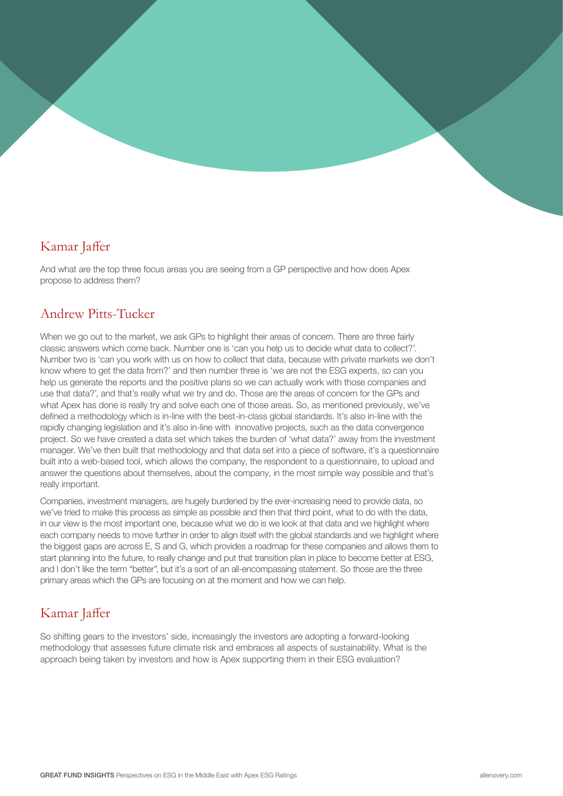## Kamar Jaffer

And what are the top three focus areas you are seeing from a GP perspective and how does Apex propose to address them?

#### Andrew Pitts-Tucker

When we go out to the market, we ask GPs to highlight their areas of concern. There are three fairly classic answers which come back. Number one is 'can you help us to decide what data to collect?'. Number two is 'can you work with us on how to collect that data, because with private markets we don't know where to get the data from?' and then number three is 'we are not the ESG experts, so can you help us generate the reports and the positive plans so we can actually work with those companies and use that data?', and that's really what we try and do. Those are the areas of concern for the GPs and what Apex has done is really try and solve each one of those areas. So, as mentioned previously, we've defined a methodology which is in-line with the best-in-class global standards. It's also in-line with the rapidly changing legislation and it's also in-line with innovative projects, such as the data convergence project. So we have created a data set which takes the burden of 'what data?' away from the investment manager. We've then built that methodology and that data set into a piece of software, it's a questionnaire built into a web-based tool, which allows the company, the respondent to a questionnaire, to upload and answer the questions about themselves, about the company, in the most simple way possible and that's really important.

Companies, investment managers, are hugely burdened by the ever-increasing need to provide data, so we've tried to make this process as simple as possible and then that third point, what to do with the data, in our view is the most important one, because what we do is we look at that data and we highlight where each company needs to move further in order to align itself with the global standards and we highlight where the biggest gaps are across E, S and G, which provides a roadmap for these companies and allows them to start planning into the future, to really change and put that transition plan in place to become better at ESG, and I don't like the term "better", but it's a sort of an all-encompassing statement. So those are the three primary areas which the GPs are focusing on at the moment and how we can help.

# Kamar Jaffer

So shifting gears to the investors' side, increasingly the investors are adopting a forward-looking methodology that assesses future climate risk and embraces all aspects of sustainability. What is the approach being taken by investors and how is Apex supporting them in their ESG evaluation?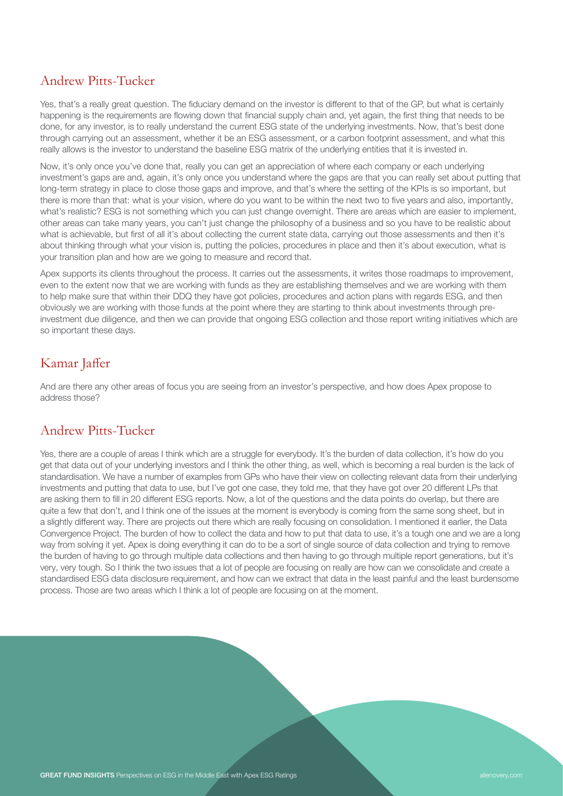#### Andrew Pitts-Tucker

Yes, that's a really great question. The fiduciary demand on the investor is different to that of the GP, but what is certainly happening is the requirements are flowing down that financial supply chain and, yet again, the first thing that needs to be done, for any investor, is to really understand the current ESG state of the underlying investments. Now, that's best done through carrying out an assessment, whether it be an ESG assessment, or a carbon footprint assessment, and what this really allows is the investor to understand the baseline ESG matrix of the underlying entities that it is invested in.

Now, it's only once you've done that, really you can get an appreciation of where each company or each underlying investment's gaps are and, again, it's only once you understand where the gaps are that you can really set about putting that long-term strategy in place to close those gaps and improve, and that's where the setting of the KPIs is so important, but there is more than that: what is your vision, where do you want to be within the next two to five years and also, importantly, what's realistic? ESG is not something which you can just change overnight. There are areas which are easier to implement, other areas can take many years, you can't just change the philosophy of a business and so you have to be realistic about what is achievable, but first of all it's about collecting the current state data, carrying out those assessments and then it's about thinking through what your vision is, putting the policies, procedures in place and then it's about execution, what is your transition plan and how are we going to measure and record that.

Apex supports its clients throughout the process. It carries out the assessments, it writes those roadmaps to improvement, even to the extent now that we are working with funds as they are establishing themselves and we are working with them to help make sure that within their DDQ they have got policies, procedures and action plans with regards ESG, and then obviously we are working with those funds at the point where they are starting to think about investments through preinvestment due diligence, and then we can provide that ongoing ESG collection and those report writing initiatives which are so important these days.

# Kamar Jaffer

And are there any other areas of focus you are seeing from an investor's perspective, and how does Apex propose to address those?

### Andrew Pitts-Tucker

Yes, there are a couple of areas I think which are a struggle for everybody. It's the burden of data collection, it's how do you get that data out of your underlying investors and I think the other thing, as well, which is becoming a real burden is the lack of standardisation. We have a number of examples from GPs who have their view on collecting relevant data from their underlying investments and putting that data to use, but I've got one case, they told me, that they have got over 20 different LPs that are asking them to fill in 20 different ESG reports. Now, a lot of the questions and the data points do overlap, but there are quite a few that don't, and I think one of the issues at the moment is everybody is coming from the same song sheet, but in a slightly different way. There are projects out there which are really focusing on consolidation. I mentioned it earlier, the Data Convergence Project. The burden of how to collect the data and how to put that data to use, it's a tough one and we are a long way from solving it yet. Apex is doing everything it can do to be a sort of single source of data collection and trying to remove the burden of having to go through multiple data collections and then having to go through multiple report generations, but it's very, very tough. So I think the two issues that a lot of people are focusing on really are how can we consolidate and create a standardised ESG data disclosure requirement, and how can we extract that data in the least painful and the least burdensome process. Those are two areas which I think a lot of people are focusing on at the moment.